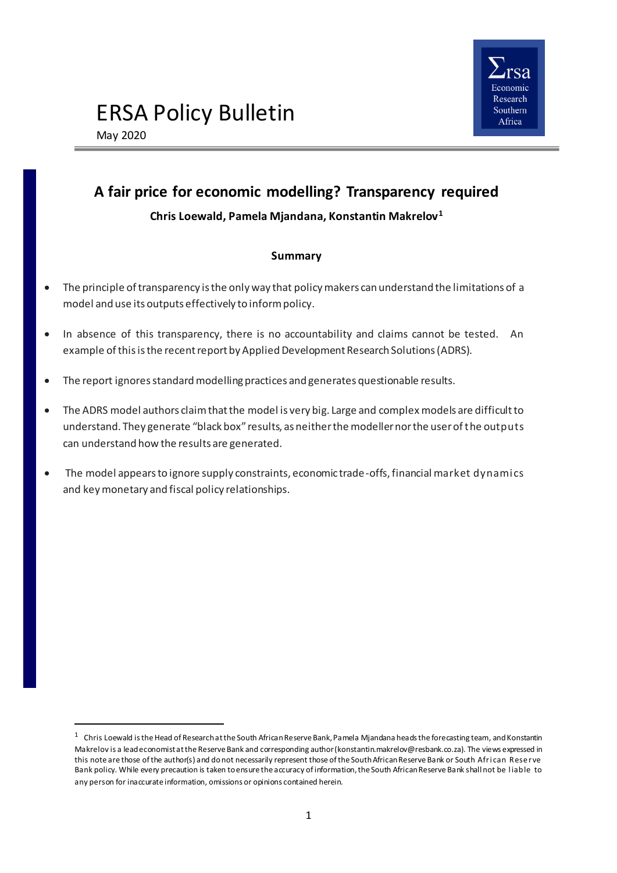

# ERSA Policy Bulletin

May 2020

 $\overline{a}$ 

## **A fair price for economic modelling? Transparency required**

## **Chris Loewald, Pamela Mjandana, Konstantin Makrelov<sup>1</sup>**

## **Summary**

- The principle of transparency is the only way that policy makers can understand the limitations of a model and use its outputs effectively to inform policy.
- In absence of this transparency, there is no accountability and claims cannot be tested. An example of this is the recent report by Applied Development Research Solutions (ADRS).
- The report ignores standard modelling practices and generates questionable results.
- The ADRS model authors claim that the model is very big. Large and complex models are difficult to understand. They generate "black box" results, as neither the modeller nor the user of the outputs can understand how the results are generated.
- The model appears to ignore supply constraints, economic trade-offs, financial market dynamics and key monetary and fiscal policy relationships.

 $^{\rm 1}~$  Chris Loewald is the Head of Research at the South African Reserve Bank, Pamela Mjandana heads the forecasting team, and Konstantin Makrelov is a lead economist at the Reserve Bank and corresponding autho[r \(konstantin.makrelov@resbank.co.za](mailto:konstantin.makrelov@resbank.co.za)). The views expressed in this note are those of the author(s) and do not necessarily represent those of the South African Reserve Bank or South Afri can Rese rve Bank policy. While every precaution is taken to ensure the accuracy of information, the South African Reserve Bank shall not be l iable to any person for inaccurate information, omissions or opinions contained herein.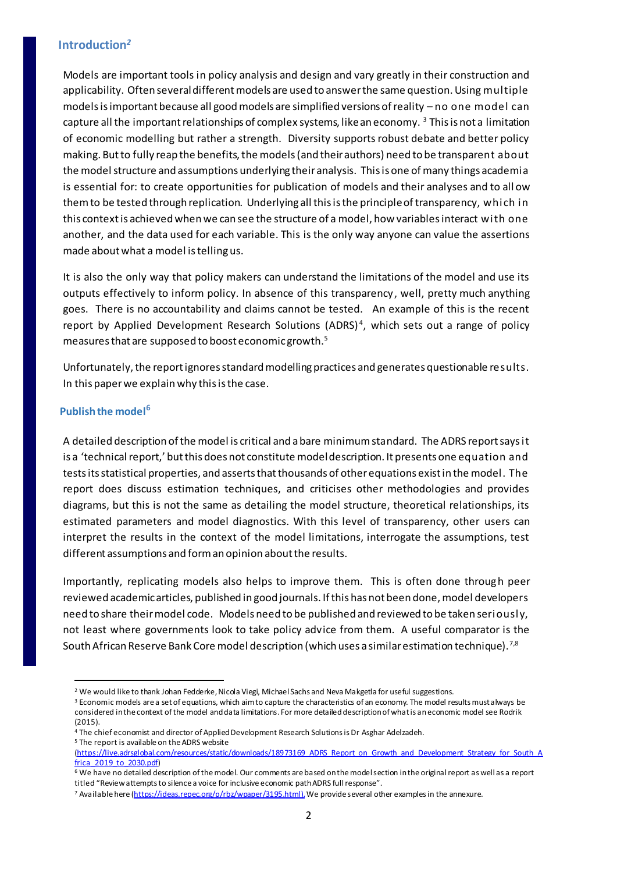## **Introduction***<sup>2</sup>*

Models are important tools in policy analysis and design and vary greatly in their construction and applicability. Often several different models are used to answer the same question. Using multiple models is important because all good models are simplified versions of reality – no one model can capture all the important relationships of complex systems, like an economy. <sup>3</sup> This is not a limitation of economic modelling but rather a strength. Diversity supports robust debate and better policy making. But to fully reap the benefits, the models (and their authors) need to be transparent about the model structure and assumptions underlying their analysis. This is one of many things academia is essential for: to create opportunities for publication of models and their analyses and to all ow them to be tested through replication. Underlying all this is the principle of transparency, which in this context is achieved when we can see the structure of a model, how variables interact with one another, and the data used for each variable. This is the only way anyone can value the assertions made about what a model is telling us.

It is also the only way that policy makers can understand the limitations of the model and use its outputs effectively to inform policy. In absence of this transparency, well, pretty much anything goes. There is no accountability and claims cannot be tested. An example of this is the recent report by Applied Development Research Solutions (ADRS)<sup>4</sup>, which sets out a range of policy measures that are supposed to boost economic growth.<sup>5</sup>

Unfortunately, the report ignores standard modelling practices and generates questionable results. In this paper we explain why this is the case.

#### **Publish the model<sup>6</sup>**

 $\overline{a}$ 

A detailed description of the model is critical and a bare minimum standard. The ADRS report says it is a 'technical report,' but this does not constitute model description. It presents one equation and tests its statistical properties, and asserts that thousands of other equations exist in the model. The report does discuss estimation techniques, and criticises other methodologies and provides diagrams, but this is not the same as detailing the model structure, theoretical relationships, its estimated parameters and model diagnostics. With this level of transparency, other users can interpret the results in the context of the model limitations, interrogate the assumptions, test different assumptions and form an opinion about the results.

Importantly, replicating models also helps to improve them. This is often done through peer reviewed academic articles, published in good journals. If this has not been done, model developers need to share their model code. Models need to be published and reviewed to be taken seriously, not least where governments look to take policy advice from them. A useful comparator is the South African Reserve Bank Core model description (which uses a similar estimation technique). $^{7,8}$ 

<sup>5</sup> The report is available on the ADRS website

<sup>&</sup>lt;sup>2</sup> We would like to thank Johan Fedderke, Nicola Viegi, Michael Sachs and Neva Makgetla for useful suggestions.

<sup>&</sup>lt;sup>3</sup> Economic models are a set of equations, which aim to capture the characteristics of an economy. The model results must always be considered in the context of the model and data limitations. For more detailed description of what is an economic model see Rodrik (2015).

<sup>4</sup> The chief economist and director of Applied Development Research Solutions is Dr Asghar Adelzadeh.

[<sup>\(</sup>https://live.adrsglobal.com/resources/static/downloads/18973169\\_ADRS\\_Report\\_on\\_Growth\\_and\\_Development\\_Strategy\\_for\\_South\\_A](https://live.adrsglobal.com/resources/static/downloads/18973169_ADRS_Report_on_Growth_and_Development_Strategy_for_South_Africa_2019_to_2030.pdf) [frica\\_2019\\_to\\_2030.pdf\)](https://live.adrsglobal.com/resources/static/downloads/18973169_ADRS_Report_on_Growth_and_Development_Strategy_for_South_Africa_2019_to_2030.pdf)

<sup>6</sup> We have no detailed description of the model. Our comments are based on the model section in the original report as well as a report titled "Reviewattempts to silence a voice for inclusive economic path ADRS full response".

<sup>7</sup> Available her[e \(https://ideas.repec.org/p/rbz/wpaper/3195.html](https://ideas.repec.org/p/rbz/wpaper/3195.html)). We provide several other examples in the annexure.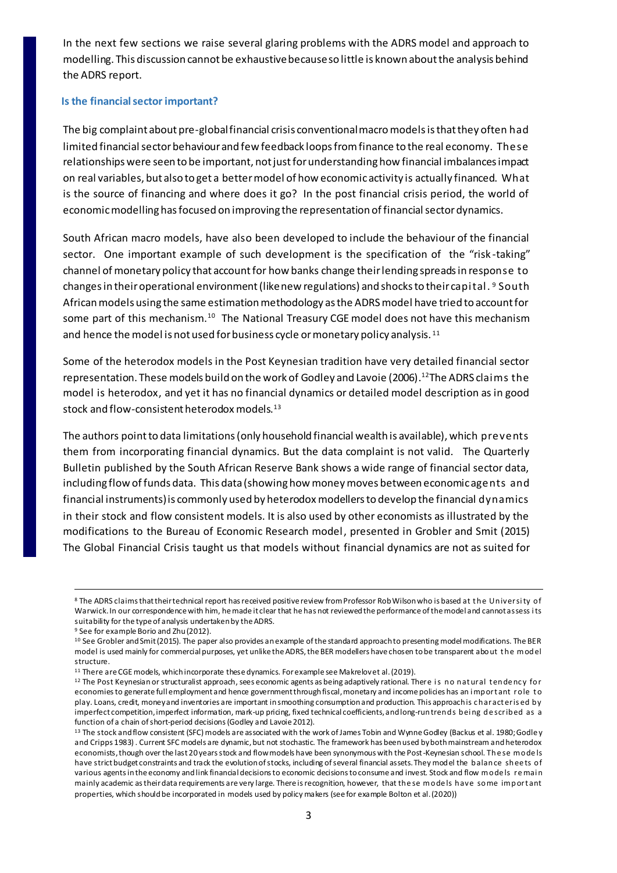In the next few sections we raise several glaring problems with the ADRS model and approach to modelling. This discussion cannot be exhaustive because so little is known about the analysis behind the ADRS report.

#### **Is the financial sector important?**

The big complaint about pre-global financial crisis conventional macro models is that they often had limited financial sector behaviour and few feedback loops from finance to the real economy. These relationships were seen to be important, not just for understanding how financial imbalances impact on real variables, but also to get a better model of how economic activity is actually financed. What is the source of financing and where does it go? In the post financial crisis period, the world of economic modelling has focused on improving the representation of financial sector dynamics.

South African macro models, have also been developed to include the behaviour of the financial sector. One important example of such development is the specification of the "risk-taking" channel of monetary policy that account for how banks change their lending spreads in response to changes in their operational environment (like new regulations) and shocks to their capital. <sup>9</sup> South African models using the same estimation methodology as the ADRS model have tried to account for some part of this mechanism.<sup>10</sup> The National Treasury CGE model does not have this mechanism and hence the model is not used for business cycle or monetary policy analysis.<sup>11</sup>

Some of the heterodox models in the Post Keynesian tradition have very detailed financial sector representation. These models build on the work of Godley and Lavoie (2006). <sup>12</sup>The ADRS claims the model is heterodox, and yet it has no financial dynamics or detailed model description as in good stock and flow-consistent heterodox models.<sup>13</sup>

The authors point to data limitations (only household financial wealth is available), which prevents them from incorporating financial dynamics. But the data complaint is not valid. The Quarterly Bulletin published by the South African Reserve Bank shows a wide range of financial sector data, including flow of funds data. This data (showing how money moves between economic agents and financial instruments) is commonly used by heterodox modellers to develop the financial dynamics in their stock and flow consistent models. It is also used by other economists as illustrated by the modifications to the Bureau of Economic Research model, presented in Grobler and Smit (2015) The Global Financial Crisis taught us that models without financial dynamics are not as suited for

 $\overline{a}$ 

<sup>8</sup> The ADRS claims that their technical report has received positive review from Professor Rob Wilson who is based at t he Universi ty of Warwick. In our correspondence with him, he made it clear that he has not reviewed the performance of the model and cannot assess i ts suitability for the type of analysis undertaken by the ADRS.

<sup>9</sup> See for example Borio and Zhu (2012).

<sup>10</sup> See Grobler and Smit (2015). The paper also provides an example of the standard approach to presenting model modifications. The BER model is used mainly for commercial purposes, yet unlike the ADRS, the BER modellers have chosen to be transparent about t he model structure.

<sup>&</sup>lt;sup>11</sup> There are CGE models, which incorporate these dynamics. For example see Makrelov et al. (2019).

<sup>&</sup>lt;sup>12</sup> The Post Keynesian or structuralist approach, sees economic agents as being adaptively rational. There is no natural tendency for economies to generate full employment and hence government through fiscal, monetary and income policies has an i mport ant role t o play. Loans, credit, money and inventories are important in smoothing consumption and production. This approach is character is ed by imperfect competition, imperfect information, mark-up pricing, fixed technical coefficients, and long-run trends bei ng de scribed as a function of a chain of short-period decisions(Godley and Lavoie 2012).

<sup>&</sup>lt;sup>13</sup> The stock and flow consistent (SFC) models are associated with the work of James Tobin and Wynne Godley (Backus et al. 1980; Godle y and Cripps 1983) . Current SFC models are dynamic, but not stochastic. The framework has been used by both mainstream and heterodox economists, though over the last 20 years stock and flow models have been synonymous with the Post-Keynesian school. The se mode ls have strict budget constraints and track the evolution of stocks, including of several financial assets. They model the balance sheets of various agents in the economy and link financial decisions to economic decisions to consume and invest. Stock and flow mode ls re mai n mainly academic as their data requirements are very large. There is recognition, however, that the se mode ls have some import ant properties, which should be incorporated in models used by policy makers (see for example Bolton et al. (2020))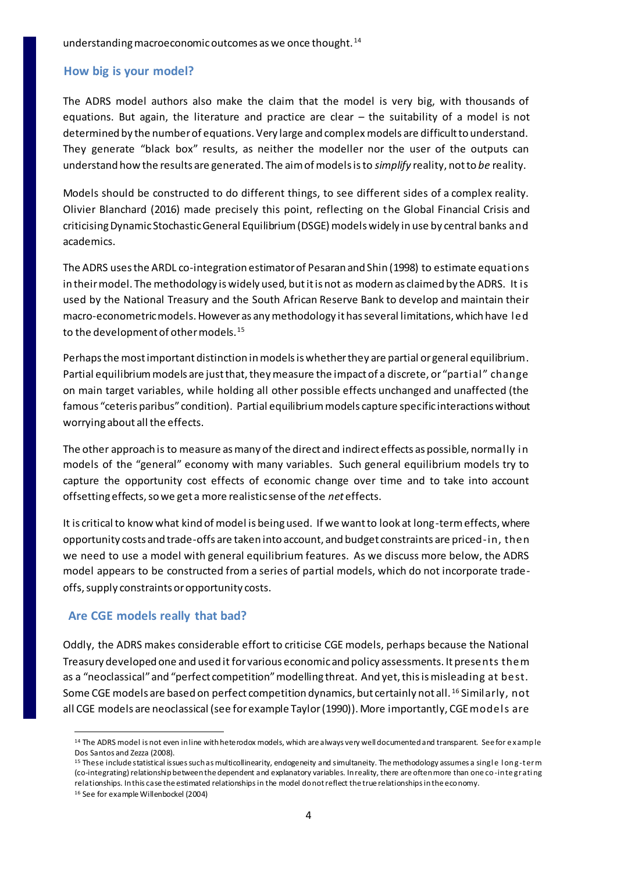understanding macroeconomic outcomes as we once thought. <sup>14</sup>

## **How big is your model?**

The ADRS model authors also make the claim that the model is very big, with thousands of equations. But again, the literature and practice are clear – the suitability of a model is not determined by the number of equations. Very large and complex models are difficult to understand. They generate "black box" results, as neither the modeller nor the user of the outputs can understand how the results are generated. The aim of models is to *simplify* reality, not to *be* reality.

Models should be constructed to do different things, to see different sides of a complex reality. Olivier Blanchard (2016) made precisely this point, reflecting on the Global Financial Crisis and criticising Dynamic Stochastic General Equilibrium (DSGE) models widely in use by central banks and academics.

The ADRS uses the ARDL co-integration estimator of Pesaran and Shin (1998) to estimate equations in their model. The methodology is widely used, but it is not as modern as claimed by the ADRS. It is used by the National Treasury and the South African Reserve Bank to develop and maintain their macro-econometric models. However as any methodology it has several limitations, which have led to the development of other models.<sup>15</sup>

Perhaps the most important distinction in models is whether they are partial or general equilibrium. Partial equilibrium models are just that, they measure the impact of a discrete, or "partial" change on main target variables, while holding all other possible effects unchanged and unaffected (the famous "ceteris paribus" condition). Partial equilibrium models capture specific interactions without worrying about all the effects.

The other approach is to measure as many of the direct and indirect effects as possible, normally in models of the "general" economy with many variables. Such general equilibrium models try to capture the opportunity cost effects of economic change over time and to take into account offsetting effects, so we get a more realistic sense of the *net* effects.

It is critical to know what kind of model is being used. If we want to look at long-term effects, where opportunity costs and trade-offs are taken into account, and budget constraints are priced-in, then we need to use a model with general equilibrium features. As we discuss more below, the ADRS model appears to be constructed from a series of partial models, which do not incorporate tradeoffs, supply constraints or opportunity costs.

## **Are CGE models really that bad?**

Oddly, the ADRS makes considerable effort to criticise CGE models, perhaps because the National Treasury developed one and used it for various economic and policy assessments. It presents them as a "neoclassical" and "perfect competition" modelling threat. And yet, this is misleading at best. Some CGE models are based on perfect competition dynamics, but certainly not all. <sup>16</sup> Similarly, not all CGE models are neoclassical (see for example Taylor (1990)). More importantly, CGE models are

 $\overline{a}$ <sup>14</sup> The ADRS model is not even in line with heterodox models, which are always very well documented and transparent. See for example Dos Santos and Zezza (2008).

<sup>&</sup>lt;sup>15</sup> These include statistical issues such as multicollinearity, endogeneity and simultaneity. The methodology assumes a single long-term (co-integrating) relationship between the dependent and explanatory variables. In reality, there are often more than one co-inte grati ng relationships. In this case the estimated relationships in the model do not reflect the true relationships in the economy.

<sup>16</sup> See for example Willenbockel (2004)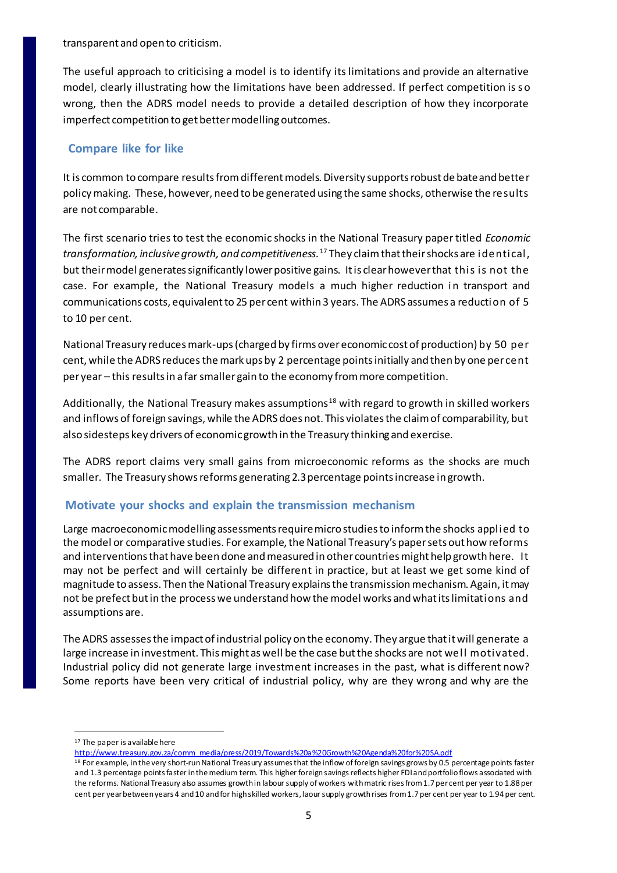transparent and open to criticism.

The useful approach to criticising a model is to identify its limitations and provide an alternative model, clearly illustrating how the limitations have been addressed. If perfect competition is so wrong, then the ADRS model needs to provide a detailed description of how they incorporate imperfect competition to get better modelling outcomes.

## **Compare like for like**

It is common to compare results from different models. Diversity supports robust de bate and better policy making. These, however, need to be generated using the same shocks, otherwise the results are not comparable.

The first scenario tries to test the economic shocks in the National Treasury paper titled *Economic transformation, inclusive growth, and competitiveness.*<sup>17</sup> They claim that their shocks are identical, but their model generates significantly lower positive gains. It is clear however that this is not the case. For example, the National Treasury models a much higher reduction in transport and communications costs, equivalent to 25 per cent within 3 years. The ADRS assumes a reduction of 5 to 10 per cent.

National Treasury reduces mark-ups (charged by firms over economic cost of production) by 50 per cent, while the ADRS reduces the mark ups by 2 percentage points initially and then by one per cent per year – this results in a far smaller gain to the economy from more competition.

Additionally, the National Treasury makes assumptions<sup>18</sup> with regard to growth in skilled workers and inflows of foreign savings, while the ADRS does not. This violates the claim of comparability, but also sidesteps key drivers of economic growth in the Treasury thinking and exercise.

The ADRS report claims very small gains from microeconomic reforms as the shocks are much smaller. The Treasury shows reforms generating 2.3 percentage points increase in growth.

## **Motivate your shocks and explain the transmission mechanism**

Large macroeconomic modelling assessments require micro studies to inform the shocks applied to the model or comparative studies. For example, the National Treasury's paper sets out how reforms and interventions that have been done and measured in other countries might help growth here. It may not be perfect and will certainly be different in practice, but at least we get some kind of magnitude to assess. Then the National Treasury explains the transmission mechanism. Again, it may not be prefect but in the process we understand how the model works and what its limitations and assumptions are.

The ADRS assesses the impact of industrial policy on the economy. They argue that it will generate a large increase in investment. This might as well be the case but the shocks are not well motivated. Industrial policy did not generate large investment increases in the past, what is different now? Some reports have been very critical of industrial policy, why are they wrong and why are the

 $\overline{a}$ 

<sup>17</sup> The paper is available here

[http://www.treasury.gov.za/comm\\_media/press/2019/Towards%20a%20Growth%20Agenda%20for%20SA.pdf](http://www.treasury.gov.za/comm_media/press/2019/Towards%20a%20Growth%20Agenda%20for%20SA.pdf)

<sup>&</sup>lt;sup>18</sup> For example, in the very short-run National Treasury assumes that the inflow of foreign savings grows by 0.5 percentage points faster and 1.3 percentage points faster in the medium term. This higher foreign savings reflects higher FDI and portfolio flows associated with the reforms. National Treasury also assumes growth in labour supply of workers with matric rises from 1.7 per cent per year to 1.88 per cent per year between years 4 and 10 and for high skilled workers, laour supply growth rises from 1.7 per cent per year to 1.94 per cent.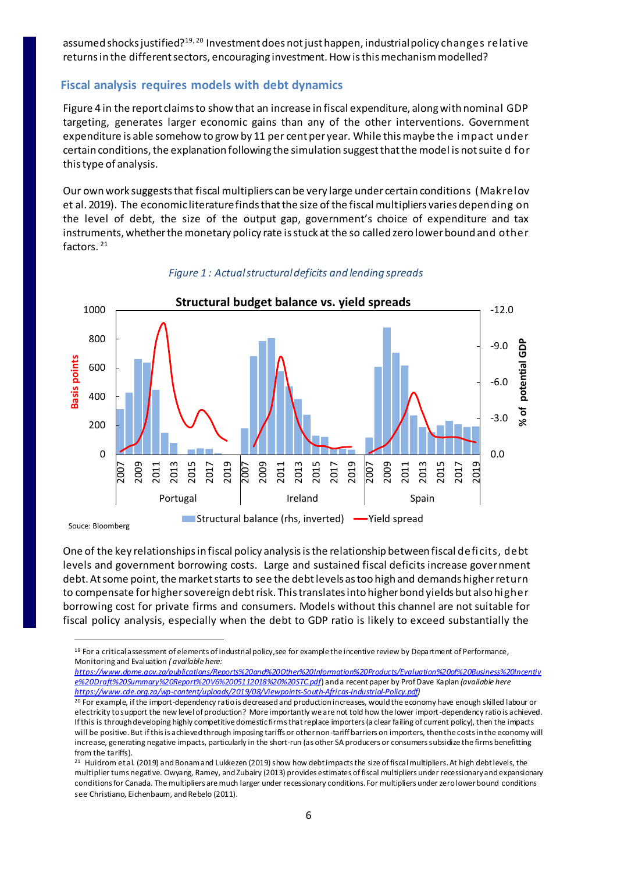assumed shocks justified? $19,20$  Investment does not just happen, industrial policy changes relative returns in the different sectors, encouraging investment. How is this mechanism modelled?

## **Fiscal analysis requires models with debt dynamics**

Figure 4 in the report claims to show that an increase in fiscal expenditure, along with nominal GDP targeting, generates larger economic gains than any of the other interventions. Government expenditure is able somehow to grow by 11 per cent per year. While this maybe the impact under certain conditions, the explanation following the simulation suggest that the model is not suite d for this type of analysis.

Our own work suggests that fiscal multipliers can be very large under certain conditions (Makrelov et al. 2019). The economic literature finds that the size of the fiscal multipliers varies depending on the level of debt, the size of the output gap, government's choice of expenditure and tax instruments, whether the monetary policy rate is stuck at the so called zero lower bound and other factors. <sup>21</sup>



#### *Figure 1 : Actual structural deficits and lending spreads*

Souce: Bloomberg

 $\overline{a}$ 

One of the key relationships in fiscal policy analysis is the relationship between fiscal deficits, debt levels and government borrowing costs. Large and sustained fiscal deficits increase government debt. At some point, the market starts to see the debt levels as too high and demands higher return to compensate for higher sovereign debt risk. This translates into higher bond yields but also higher borrowing cost for private firms and consumers. Models without this channel are not suitable for fiscal policy analysis, especially when the debt to GDP ratio is likely to exceed substantially the

<sup>&</sup>lt;sup>19</sup> For a critical assessment of elements of industrial policy, see for example the incentive review by Department of Performance, Monitoring and Evaluation *( available here:* 

*[https://www.dpme.gov.za/publications/Reports%20and%20Other%20Information%20Products/Evaluation%20of%20Business%20Incentiv](https://www.dpme.gov.za/publications/Reports%20and%20Other%20Information%20Products/Evaluation%20of%20Business%20Incentive%20Draft%20Summary%20Report%20V6%2005112018%20%20STC.pdf) [e%20Draft%20Summary%20Report%20V6%2005112018%20%20STC.pdf](https://www.dpme.gov.za/publications/Reports%20and%20Other%20Information%20Products/Evaluation%20of%20Business%20Incentive%20Draft%20Summary%20Report%20V6%2005112018%20%20STC.pdf)*) and a recent paper by Prof Dave Kaplan *(available here <https://www.cde.org.za/wp-content/uploads/2019/08/Viewpoints-South-Africas-Industrial-Policy.pdf>)*

<sup>&</sup>lt;sup>20</sup> For example, if the import-dependency ratio is decreased and production increases, would the economy have enough skilled labour or electricity to support the new level of production? More importantly we are not told how the lower import-dependency ratio is achieved. If this is through developing highly competitive domestic firms that replace importers (a clear failing of current policy), then the impacts will be positive. But if this is achieved through imposing tariffs or other non-tariff barriers on importers, then the costs in the economy will increase, generating negative impacts, particularly in the short-run (as other SA producers or consumers subsidize the firms benefitting from the tariffs).

<sup>&</sup>lt;sup>21</sup> Huidrom et al. (2019) and Bonam and Lukkezen (2019) show how debt impacts the size of fiscal multipliers. At high debt levels, the multiplier turns negative. Owyang, Ramey, and Zubairy (2013) provides estimates of fiscal multipliers under recessionary and expansionary conditions for Canada. The multipliers are much larger under recessionary conditions. For multipliers under zero lower bound conditions see Christiano, Eichenbaum, and Rebelo (2011).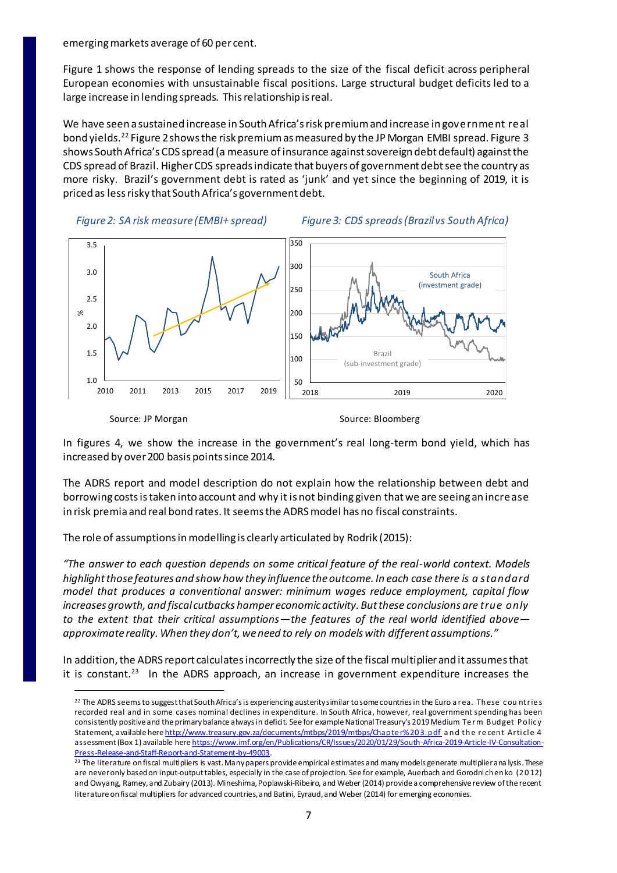emerging markets average of 60 per cent.

Figure 1 shows the response of lending spreads to the size of the fiscal deficit across peripheral European economies with unsustainable fiscal positions. Large structural budget deficits led to a large increase in lending spreads. This relationship is real.

We have seen a sustained increase in South Africa's risk premium and increase in government real bond yields.<sup>22</sup> Figure 2 shows the risk premium as measured by the JP Morgan EMBI spread. Figure 3 shows South Africa's CDS spread (a measure of insurance against sovereign debt default) against the CDS spread of Brazil. Higher CDS spreads indicate that buyers of government debt see the country as more risky. Brazil's government debt is rated as 'junk' and yet since the beginning of 2019, it is priced as less risky that South Africa's government debt.

 *Figure 2: SA risk measure (EMBI+ spread) Figure 3: CDS spreads (Brazil vs South Africa)*



Source: JP Morgan Source: Bloomberg

 $\overline{a}$ 

In figures 4, we show the increase in the government's real long-term bond yield, which has increased by over 200 basis points since 2014.

The ADRS report and model description do not explain how the relationship between debt and borrowing costs is taken into account and why it is not binding given that we are seeing an increase in risk premia and real bond rates. It seems the ADRS model has no fiscal constraints.

The role of assumptions in modelling is clearly articulated by Rodrik (2015):

*"The answer to each question depends on some critical feature of the real-world context. Models highlight those features and show how they influence the outcome. In each case there is a standard model that produces a conventional answer: minimum wages reduce employment, capital flow increases growth, and fiscal cutbacks hamper economic activity. But these conclusions are true only to the extent that their critical assumptions—the features of the real world identified above approximate reality. When they don't, we need to rely on models with different assumptions."*

In addition, the ADRS report calculates incorrectly the size of the fiscal multiplier and it assumes that it is constant.<sup>23</sup> In the ADRS approach, an increase in government expenditure increases the

<sup>&</sup>lt;sup>22</sup> The ADRS seems to suggest that South Africa's is experiencing austerity similar to some countries in the Euro a rea. These countries recorded real and in some cases nominal declines in expenditure. In South Africa, however, real government spending has been consistently positive and the primary balance always in deficit. See for example National Treasury's 2019 Medium Te rm Budget P olic y Statement, available here http://www.treasury.gov.za/documents/mtbps/2019/mtbps/Chapter%203.pdf and the recent Article 4 assessment (Box 1) available her[e https://www.imf.org/en/Publications/CR/Issues/2020/01/29/South-Africa-2019-Article-IV-Consultation-](https://www.imf.org/en/Publications/CR/Issues/2020/01/29/South-Africa-2019-Article-IV-Consultation-Press-Release-and-Staff-Report-and-Statement-by-49003)[Press-Release-and-Staff-Report-and-Statement-by-49003](https://www.imf.org/en/Publications/CR/Issues/2020/01/29/South-Africa-2019-Article-IV-Consultation-Press-Release-and-Staff-Report-and-Statement-by-49003).

<sup>&</sup>lt;sup>23</sup> The literature on fiscal multipliers is vast. Many papers provide empirical estimates and many models generate multiplier ana lysis. These are never only based on input-output tables, especially in the case of projection. See for example, Auerbach and Gorodni chenko (2 0 12) and Owyang, Ramey, and Zubairy (2013). Mineshima, Poplawski-Ribeiro, and Weber (2014) provide a comprehensive review of the recent literature on fiscal multipliers for advanced countries, and Batini, Eyraud, and Weber (2014) for emerging economies.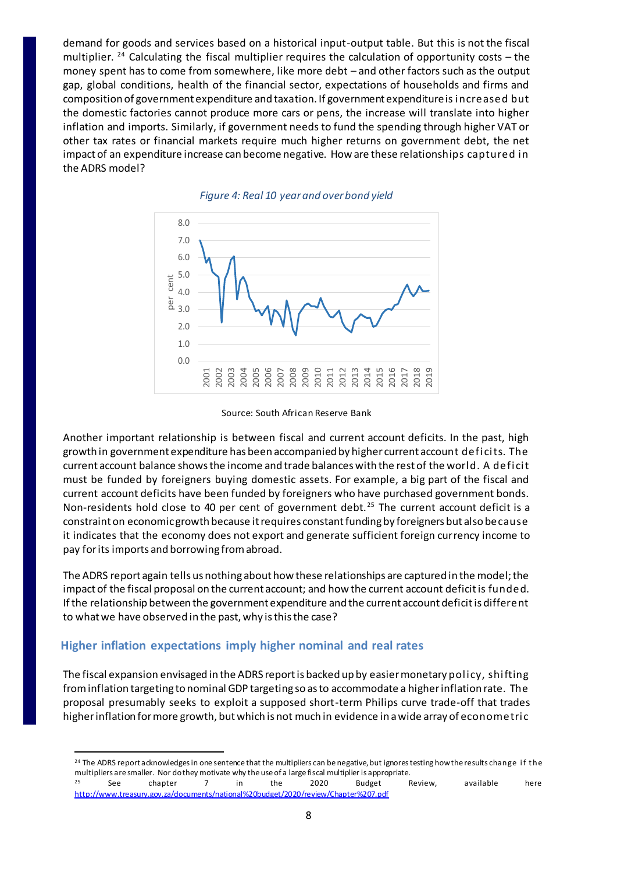demand for goods and services based on a historical input-output table. But this is not the fiscal multiplier.  $24$  Calculating the fiscal multiplier requires the calculation of opportunity costs – the money spent has to come from somewhere, like more debt – and other factors such as the output gap, global conditions, health of the financial sector, expectations of households and firms and composition of government expenditure and taxation. If government expenditure is increased but the domestic factories cannot produce more cars or pens, the increase will translate into higher inflation and imports. Similarly, if government needs to fund the spending through higher VAT or other tax rates or financial markets require much higher returns on government debt, the net impact of an expenditure increase can become negative. How are these relationships captured in the ADRS model?



#### *Figure 4: Real 10 year and over bond yield*

Source: South African Reserve Bank

Another important relationship is between fiscal and current account deficits. In the past, high growth in government expenditure has been accompanied by higher current account deficits. The current account balance shows the income and trade balances with the rest of the world. A deficit must be funded by foreigners buying domestic assets. For example, a big part of the fiscal and current account deficits have been funded by foreigners who have purchased government bonds. Non-residents hold close to 40 per cent of government debt.<sup>25</sup> The current account deficit is a constraint on economic growth because it requires constant funding by foreigners but also because it indicates that the economy does not export and generate sufficient foreign currency income to pay for its imports and borrowing from abroad.

The ADRS report again tells us nothing about how these relationships are captured in the model; the impact of the fiscal proposal on the current account; and how the current account deficit is funded. If the relationship between the government expenditure and the current account deficit is different to what we have observed in the past, why is this the case?

#### **Higher inflation expectations imply higher nominal and real rates**

 $\overline{a}$ 

The fiscal expansion envisaged in the ADRS report is backed up by easier monetary policy, shifting from inflation targeting to nominal GDP targeting so as to accommodate a higher inflation rate. The proposal presumably seeks to exploit a supposed short-term Philips curve trade-off that trades higher inflation for more growth, but which is not much in evidence in a wide array of econometric

<sup>&</sup>lt;sup>24</sup> The ADRS report acknowledges in one sentence that the multipliers can be negative, but ignores testing how the results change if the multipliers are smaller. Nor do they motivate why the use of a large fiscal multiplier is appropriate.  $^{25}$  See chapter 7 in the 2020 Budget Review, available here

<http://www.treasury.gov.za/documents/national%20budget/2020/review/Chapter%207.pdf>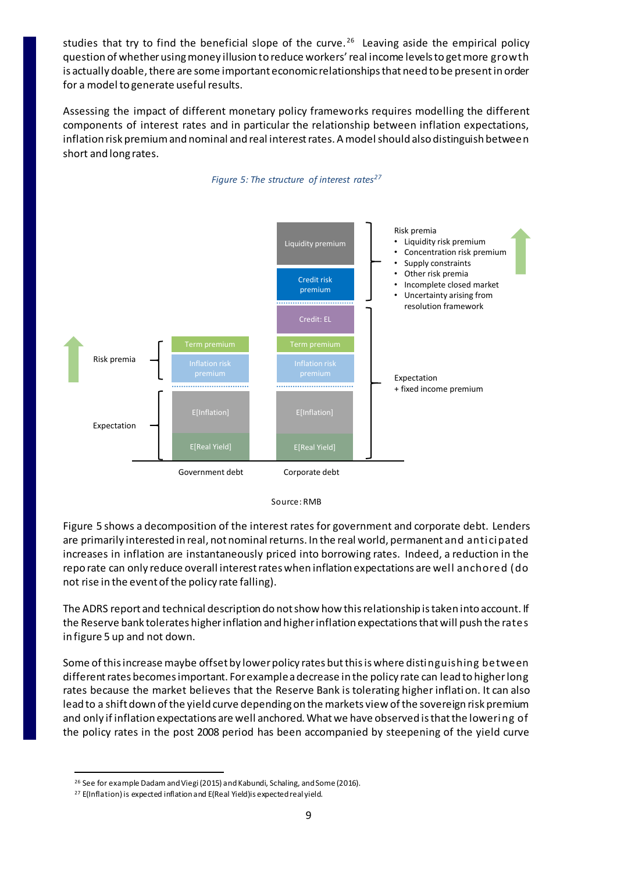studies that try to find the beneficial slope of the curve.<sup>26</sup> Leaving aside the empirical policy question of whether using money illusion to reduce workers' real income levels to get more growth is actually doable, there are some important economic relationships that need to be present in order for a model to generate useful results.

Assessing the impact of different monetary policy frameworks requires modelling the different components of interest rates and in particular the relationship between inflation expectations, inflation risk premium and nominal and real interest rates. A model should also distinguish between short and long rates.

*Figure 5: The structure of interest rates<sup>27</sup>*





Figure 5 shows a decomposition of the interest rates for government and corporate debt. Lenders are primarily interested in real, not nominal returns. In the real world, permanent and anticipated increases in inflation are instantaneously priced into borrowing rates. Indeed, a reduction in the repo rate can only reduce overall interest rates when inflation expectations are well anchored (do not rise in the event of the policy rate falling).

The ADRS report and technical description do not show how this relationship is taken into account. If the Reserve bank tolerates higher inflation and higher inflation expectations that will push the rates in figure 5 up and not down.

Some of this increase maybe offset by lower policy rates but this is where distinguishing between different rates becomes important. For example a decrease in the policy rate can lead to higher long rates because the market believes that the Reserve Bank is tolerating higher inflation. It can also lead to a shift down of the yield curve depending on the markets view of the sovereign risk premium and only if inflation expectations are well anchored. What we have observed is that the lowering of the policy rates in the post 2008 period has been accompanied by steepening of the yield curve

 $\overline{a}$ <sup>26</sup> See for example Dadam and Viegi (2015) and Kabundi, Schaling, and Some (2016).

<sup>&</sup>lt;sup>27</sup> E(Inflation) is expected inflation and E(Real Yield) is expected real yield.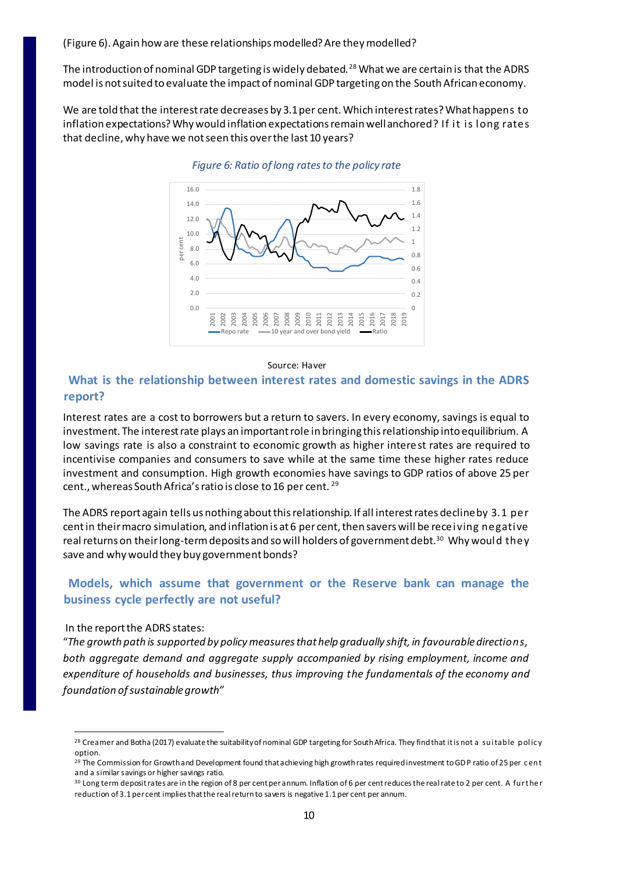(Figure 6). Again how are these relationships modelled? Are they modelled?

The introduction of nominal GDP targeting is widely debated. <sup>28</sup> What we are certain is that the ADRS model is not suited to evaluate the impact of nominal GDP targeting on the South African economy.

We are told that the interest rate decreases by 3.1 per cent. Which interest rates? What happens to inflation expectations? Why would inflation expectations remain well anchored? If it is long rates that decline, why have we not seen this over the last 10 years?



#### *Figure 6: Ratio of long rates to the policy rate*

#### Source: Haver

## **What is the relationship between interest rates and domestic savings in the ADRS report?**

Interest rates are a cost to borrowers but a return to savers. In every economy, savings is equal to investment. The interest rate plays an important role in bringing this relationship into equilibrium. A low savings rate is also a constraint to economic growth as higher interest rates are required to incentivise companies and consumers to save while at the same time these higher rates reduce investment and consumption. High growth economies have savings to GDP ratios of above 25 per cent., whereas South Africa's ratio is close to 16 per cent. <sup>29</sup>

The ADRS report again tells us nothing about this relationship. If all interest rates decline by 3.1 per cent in their macro simulation, and inflation is at 6 per cent, then savers will be receiving negative real returns on their long-term deposits and so will holders of government debt. $^{\rm 30}$  Why would <code>they</code> save and why would they buy government bonds?

## **Models, which assume that government or the Reserve bank can manage the business cycle perfectly are not useful?**

#### In the report the ADRS states:

 $\overline{a}$ 

"*The growth path is supported by policy measures that help gradually shift, in favourable directions, both aggregate demand and aggregate supply accompanied by rising employment, income and expenditure of households and businesses, thus improving the fundamentals of the economy and foundation of sustainable growth"*

<sup>&</sup>lt;sup>28</sup> Creamer and Botha (2017) evaluate the suitability of nominal GDP targeting for South Africa. They find that it is not a suitable policy option.

<sup>&</sup>lt;sup>29</sup> The Commission for Growth and Development found that achieving high growth rates required investment to GDP ratio of 25 per cent and a similar savings or higher savings ratio.

<sup>30</sup> Long term deposit rates are in the region of 8 per cent per annum. Inflation of 6 per cent reduces the real rate to 2 per cent. A furt he r reduction of 3.1 per cent implies that the real return to savers is negative 1.1 per cent per annum.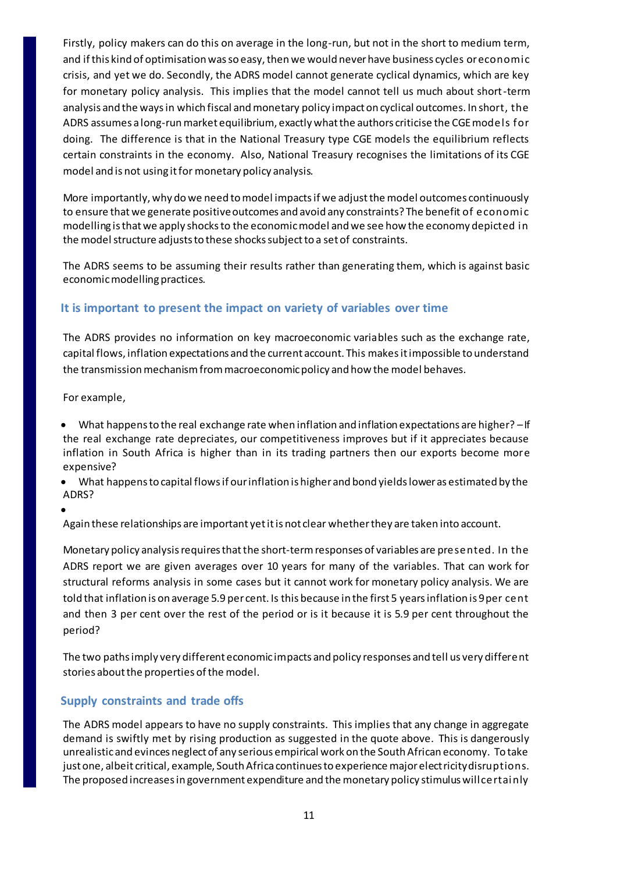Firstly, policy makers can do this on average in the long-run, but not in the short to medium term, and if this kind of optimisation was so easy, then we would never have business cycles or economic crisis, and yet we do. Secondly, the ADRS model cannot generate cyclical dynamics, which are key for monetary policy analysis. This implies that the model cannot tell us much about short-term analysis and the ways in which fiscal and monetary policy impact on cyclical outcomes. In short, the ADRS assumes a long-run market equilibrium, exactly what the authors criticise the CGE models for doing. The difference is that in the National Treasury type CGE models the equilibrium reflects certain constraints in the economy. Also, National Treasury recognises the limitations of its CGE model and is not using it for monetary policy analysis.

More importantly, why do we need to model impacts if we adjust the model outcomes continuously to ensure that we generate positive outcomes and avoid any constraints? The benefit of economic modelling is that we apply shocks to the economic model and we see how the economy depicted in the model structure adjusts to these shocks subject to a set of constraints.

The ADRS seems to be assuming their results rather than generating them, which is against basic economic modelling practices.

## **It is important to present the impact on variety of variables over time**

The ADRS provides no information on key macroeconomic variables such as the exchange rate, capital flows, inflation expectations and the current account. This makes it impossible to understand the transmission mechanism from macroeconomic policy and how the model behaves.

For example,

- What happens to the real exchange rate when inflation and inflation expectations are higher? –If the real exchange rate depreciates, our competitiveness improves but if it appreciates because inflation in South Africa is higher than in its trading partners then our exports become more expensive?
- What happens to capital flows if our inflation is higher and bond yields lower as estimated by the ADRS?
- $\bullet$

Again these relationships are important yet it is not clear whether they are taken into account.

Monetary policy analysis requires that the short-term responses of variables are presented. In the ADRS report we are given averages over 10 years for many of the variables. That can work for structural reforms analysis in some cases but it cannot work for monetary policy analysis. We are told that inflation is on average 5.9 per cent. Is this because in the first 5 years inflation is 9 per cent and then 3 per cent over the rest of the period or is it because it is 5.9 per cent throughout the period?

The two paths imply very different economic impacts and policy responses and tell us very different stories about the properties of the model.

## **Supply constraints and trade offs**

The ADRS model appears to have no supply constraints. This implies that any change in aggregate demand is swiftly met by rising production as suggested in the quote above. This is dangerously unrealistic and evinces neglect of any serious empirical work on the South African economy. To take just one, albeit critical, example, South Africa continues to experience major electricity disruptions. The proposed increases in government expenditure and the monetary policy stimulus will certainly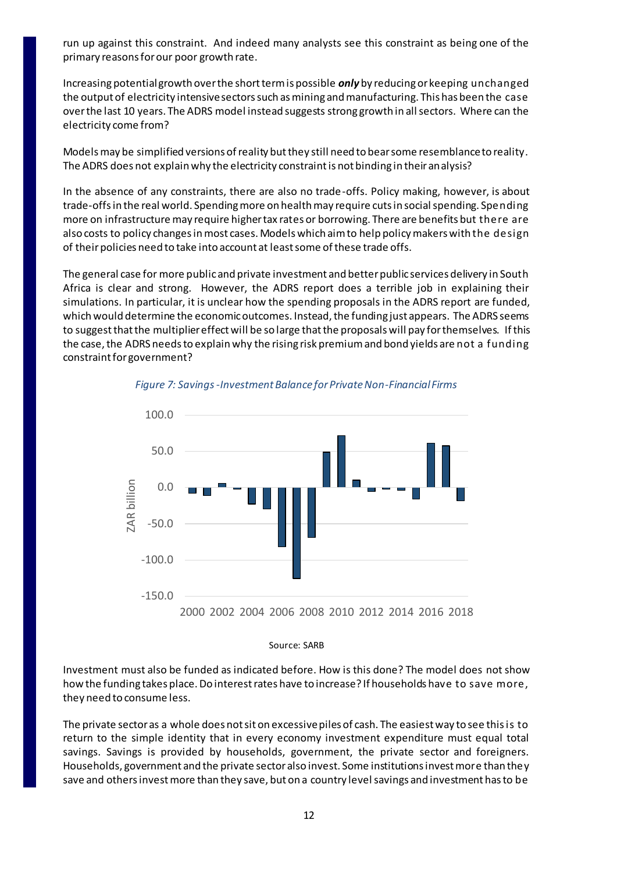run up against this constraint. And indeed many analysts see this constraint as being one of the primary reasons for our poor growth rate.

Increasing potential growth over the short term is possible *only* by reducing or keeping unchanged the output of electricity intensive sectors such as mining and manufacturing. This has been the case over the last 10 years. The ADRS model instead suggests strong growth in all sectors. Where can the electricity come from?

Models may be simplified versions of reality but they still need to bear some resemblance to reality. The ADRS does not explain why the electricity constraint is not binding in their analysis?

In the absence of any constraints, there are also no trade-offs. Policy making, however, is about trade-offs in the real world. Spending more on health may require cuts in social spending. Spending more on infrastructure may require higher tax rates or borrowing. There are benefits but there are also costs to policy changes in most cases. Models which aim to help policy makers with the design of their policies need to take into account at least some of these trade offs.

The general case for more public and private investment and better public services delivery in South Africa is clear and strong. However, the ADRS report does a terrible job in explaining their simulations. In particular, it is unclear how the spending proposals in the ADRS report are funded, which would determine the economic outcomes. Instead, the funding just appears. The ADRS seems to suggest that the multiplier effect will be so large that the proposals will pay for themselves. If this the case, the ADRS needs to explain why the rising risk premium and bond yields are not a funding constraint for government?



*Figure 7: Savings -Investment Balance for Private Non-Financial Firms*

Source: SARB

Investment must also be funded as indicated before. How is this done? The model does not show how the funding takes place. Do interest rates have to increase? If households have to save more, they need to consume less.

The private sector as a whole does not sit on excessive piles of cash. The easiest way to see this is to return to the simple identity that in every economy investment expenditure must equal total savings. Savings is provided by households, government, the private sector and foreigners. Households, government and the private sector also invest. Some institutions invest more than they save and others invest more than they save, but on a country level savings and investment has to be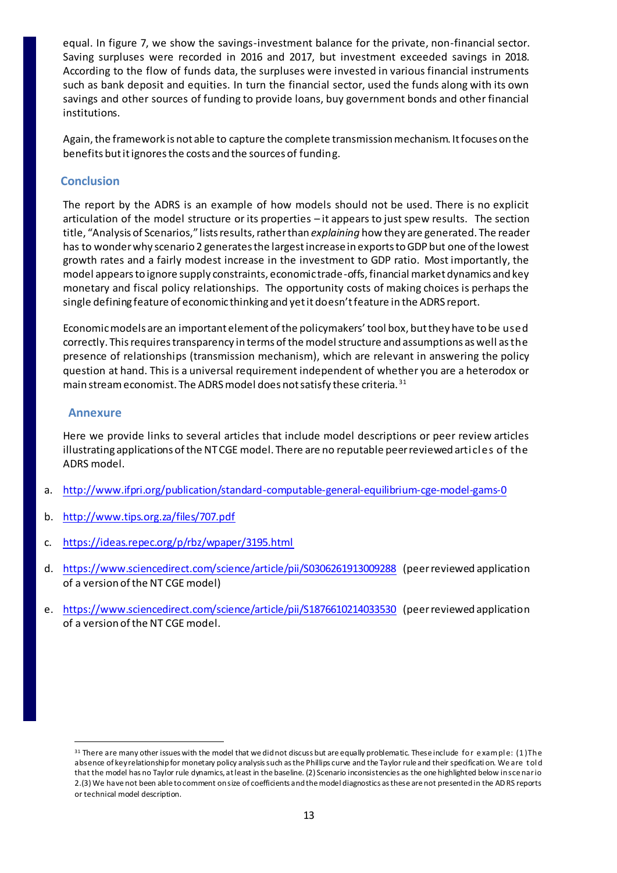equal. In figure 7, we show the savings-investment balance for the private, non-financial sector. Saving surpluses were recorded in 2016 and 2017, but investment exceeded savings in 2018. According to the flow of funds data, the surpluses were invested in various financial instruments such as bank deposit and equities. In turn the financial sector, used the funds along with its own savings and other sources of funding to provide loans, buy government bonds and other financial institutions.

Again, the framework is not able to capture the complete transmission mechanism. It focuses on the benefits but it ignores the costs and the sources of funding.

## **Conclusion**

The report by the ADRS is an example of how models should not be used. There is no explicit articulation of the model structure or its properties – it appears to just spew results. The section title, "Analysis of Scenarios," lists results, rather than *explaining* how they are generated. The reader has to wonder why scenario 2 generates the largest increase in exports to GDP but one of the lowest growth rates and a fairly modest increase in the investment to GDP ratio. Most importantly, the model appears to ignore supply constraints, economic trade-offs, financial market dynamics and key monetary and fiscal policy relationships. The opportunity costs of making choices is perhaps the single defining feature of economic thinking and yet it doesn't feature in the ADRS report.

Economic models are an important element of the policymakers' tool box, but they have to be used correctly. This requires transparency in terms of the model structure and assumptions as well as the presence of relationships (transmission mechanism), which are relevant in answering the policy question at hand. This is a universal requirement independent of whether you are a heterodox or main stream economist. The ADRS model does not satisfy these criteria.  $^{\rm 31}$ 

## **Annexure**

 $\overline{a}$ 

Here we provide links to several articles that include model descriptions or peer review articles illustrating applications of the NT CGE model. There are no reputable peer reviewed articles of the ADRS model.

- a. <http://www.ifpri.org/publication/standard-computable-general-equilibrium-cge-model-gams-0>
- b. <http://www.tips.org.za/files/707.pdf>
- c. <https://ideas.repec.org/p/rbz/wpaper/3195.html>
- d. <https://www.sciencedirect.com/science/article/pii/S0306261913009288> (peer reviewed application of a version of the NT CGE model)
- e. <https://www.sciencedirect.com/science/article/pii/S1876610214033530> (peer reviewed application of a version of the NT CGE model.

<sup>&</sup>lt;sup>31</sup> There are many other issues with the model that we did not discuss but are equally problematic. These include for example: (1) The absence of key relationship for monetary policy analysis such as the Phillips curve and the Taylor rule and their specificati on. We are told that the model has no Taylor rule dynamics, at least in the baseline. (2) Scenario inconsistencies as the one highlighted below in sce nario 2.(3) We have not been able to comment on size of coefficients and the model diagnostics as these are not presented in the ADRS reports or technical model description.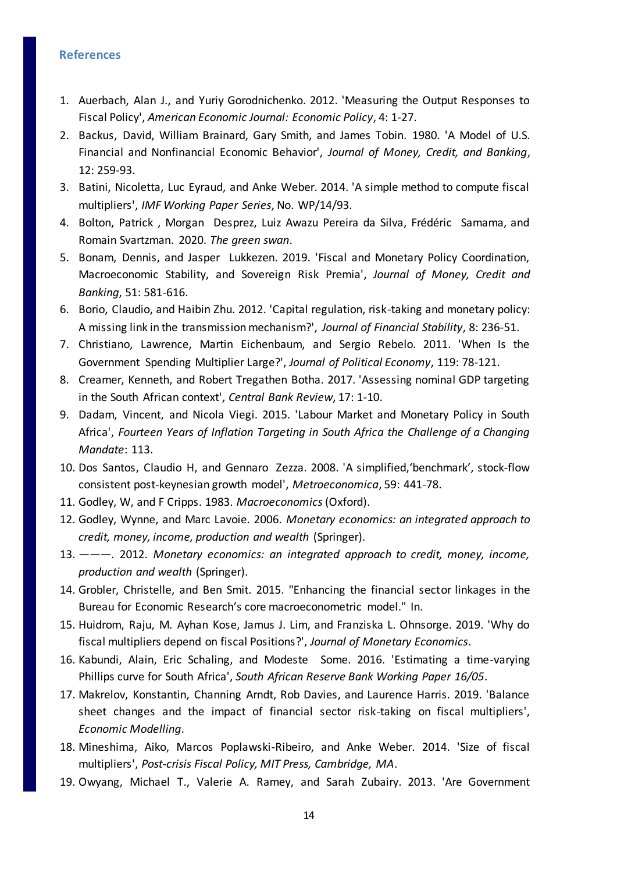#### **References**

- 1. Auerbach, Alan J., and Yuriy Gorodnichenko. 2012. 'Measuring the Output Responses to Fiscal Policy', *American Economic Journal: Economic Policy*, 4: 1-27.
- 2. Backus, David, William Brainard, Gary Smith, and James Tobin. 1980. 'A Model of U.S. Financial and Nonfinancial Economic Behavior', *Journal of Money, Credit, and Banking*, 12: 259-93.
- 3. Batini, Nicoletta, Luc Eyraud, and Anke Weber. 2014. 'A simple method to compute fiscal multipliers', *IMF Working Paper Series*, No. WP/14/93.
- 4. Bolton, Patrick , Morgan Desprez, Luiz Awazu Pereira da Silva, Frédéric Samama, and Romain Svartzman. 2020. *The green swan*.
- 5. Bonam, Dennis, and Jasper Lukkezen. 2019. 'Fiscal and Monetary Policy Coordination, Macroeconomic Stability, and Sovereign Risk Premia', *Journal of Money, Credit and Banking*, 51: 581-616.
- 6. Borio, Claudio, and Haibin Zhu. 2012. 'Capital regulation, risk-taking and monetary policy: A missing link in the transmission mechanism?', *Journal of Financial Stability*, 8: 236-51.
- 7. Christiano, Lawrence, Martin Eichenbaum, and Sergio Rebelo. 2011. 'When Is the Government Spending Multiplier Large?', *Journal of Political Economy*, 119: 78-121.
- 8. Creamer, Kenneth, and Robert Tregathen Botha. 2017. 'Assessing nominal GDP targeting in the South African context', *Central Bank Review*, 17: 1-10.
- 9. Dadam, Vincent, and Nicola Viegi. 2015. 'Labour Market and Monetary Policy in South Africa', *Fourteen Years of Inflation Targeting in South Africa the Challenge of a Changing Mandate*: 113.
- 10. Dos Santos, Claudio H, and Gennaro Zezza. 2008. 'A simplified,'benchmark', stock‐flow consistent post‐keynesian growth model', *Metroeconomica*, 59: 441-78.
- 11. Godley, W, and F Cripps. 1983. *Macroeconomics*(Oxford).
- 12. Godley, Wynne, and Marc Lavoie. 2006. *Monetary economics: an integrated approach to credit, money, income, production and wealth* (Springer).
- 13. ———. 2012. *Monetary economics: an integrated approach to credit, money, income, production and wealth* (Springer).
- 14. Grobler, Christelle, and Ben Smit. 2015. "Enhancing the financial sector linkages in the Bureau for Economic Research's core macroeconometric model." In.
- 15. Huidrom, Raju, M. Ayhan Kose, Jamus J. Lim, and Franziska L. Ohnsorge. 2019. 'Why do fiscal multipliers depend on fiscal Positions?', *Journal of Monetary Economics*.
- 16. Kabundi, Alain, Eric Schaling, and Modeste Some. 2016. 'Estimating a time-varying Phillips curve for South Africa', *South African Reserve Bank Working Paper 16/05*.
- 17. Makrelov, Konstantin, Channing Arndt, Rob Davies, and Laurence Harris. 2019. 'Balance sheet changes and the impact of financial sector risk-taking on fiscal multipliers', *Economic Modelling*.
- 18. Mineshima, Aiko, Marcos Poplawski-Ribeiro, and Anke Weber. 2014. 'Size of fiscal multipliers', *Post-crisis Fiscal Policy, MIT Press, Cambridge, MA*.
- 19. Owyang, Michael T., Valerie A. Ramey, and Sarah Zubairy. 2013. 'Are Government